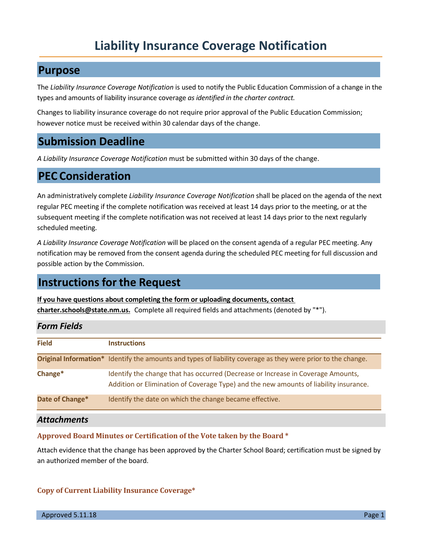# **Liability Insurance Coverage Notification**

#### **Purpose**

The *Liability Insurance Coverage Notification* is used to notify the Public Education Commission of a change in the types and amounts of liability insurance coverage *as identified in the charter contract.*

Changes to liability insurance coverage do not require prior approval of the Public Education Commission; however notice must be received within 30 calendar days of the change.

## **Submission Deadline**

*A Liability Insurance Coverage Notification* must be submitted within 30 days of the change.

### **PEC Consideration**

An administratively complete *Liability Insurance Coverage Notification* shall be placed on the agenda of the next regular PEC meeting if the complete notification was received at least 14 days prior to the meeting, or at the subsequent meeting if the complete notification was not received at least 14 days prior to the next regularly scheduled meeting.

*A Liability Insurance Coverage Notification* will be placed on the consent agenda of a regular PEC meeting. Any notification may be removed from the consent agenda during the scheduled PEC meeting for full discussion and possible action by the Commission.

### **Instructions for the Request**

**If you have questions about completing the form or uploading documents, contact charter.schools@state.nm.us.** Complete all required fields and attachments (denoted by "\*").

| <b>Form Fields</b> |                                                                                                                                                                           |
|--------------------|---------------------------------------------------------------------------------------------------------------------------------------------------------------------------|
| <b>Field</b>       | <b>Instructions</b>                                                                                                                                                       |
|                    | Original Information* Identify the amounts and types of liability coverage as they were prior to the change.                                                              |
| Change*            | Identify the change that has occurred (Decrease or Increase in Coverage Amounts,<br>Addition or Elimination of Coverage Type) and the new amounts of liability insurance. |
| Date of Change*    | Identify the date on which the change became effective.                                                                                                                   |
| <b>Attachments</b> |                                                                                                                                                                           |

#### **Approved Board Minutes or Certification of the Vote taken by the Board \***

Attach evidence that the change has been approved by the Charter School Board; certification must be signed by an authorized member of the board.

#### **Copy of Current Liability Insurance Coverage\***